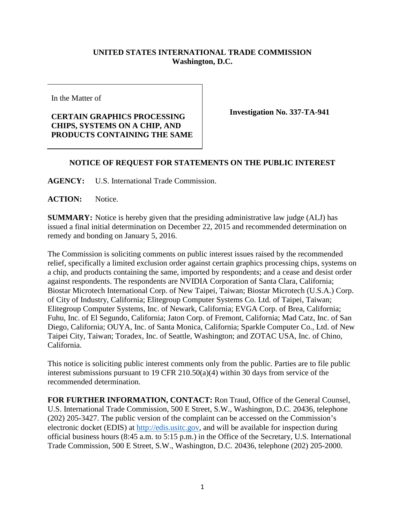## **UNITED STATES INTERNATIONAL TRADE COMMISSION Washington, D.C.**

In the Matter of

## **CERTAIN GRAPHICS PROCESSING CHIPS, SYSTEMS ON A CHIP, AND PRODUCTS CONTAINING THE SAME**

**Investigation No. 337-TA-941**

## **NOTICE OF REQUEST FOR STATEMENTS ON THE PUBLIC INTEREST**

**AGENCY:** U.S. International Trade Commission.

**ACTION:** Notice.

**SUMMARY:** Notice is hereby given that the presiding administrative law judge (ALJ) has issued a final initial determination on December 22, 2015 and recommended determination on remedy and bonding on January 5, 2016.

The Commission is soliciting comments on public interest issues raised by the recommended relief, specifically a limited exclusion order against certain graphics processing chips, systems on a chip, and products containing the same, imported by respondents; and a cease and desist order against respondents. The respondents are NVIDIA Corporation of Santa Clara, California; Biostar Microtech International Corp. of New Taipei, Taiwan; Biostar Microtech (U.S.A.) Corp. of City of Industry, California; Elitegroup Computer Systems Co. Ltd. of Taipei, Taiwan; Elitegroup Computer Systems, Inc. of Newark, California; EVGA Corp. of Brea, California; Fuhu, Inc. of El Segundo, California; Jaton Corp. of Fremont, California; Mad Catz, Inc. of San Diego, California; OUYA, Inc. of Santa Monica, California; Sparkle Computer Co., Ltd. of New Taipei City, Taiwan; Toradex, Inc. of Seattle, Washington; and ZOTAC USA, Inc. of Chino, California.

This notice is soliciting public interest comments only from the public. Parties are to file public interest submissions pursuant to 19 CFR 210.50(a)(4) within 30 days from service of the recommended determination.

**FOR FURTHER INFORMATION, CONTACT:** Ron Traud, Office of the General Counsel, U.S. International Trade Commission, 500 E Street, S.W., Washington, D.C. 20436, telephone (202) 205-3427. The public version of the complaint can be accessed on the Commission's electronic docket (EDIS) at [http://edis.usitc.gov,](http://edis.usitc.gov/) and will be available for inspection during official business hours (8:45 a.m. to 5:15 p.m.) in the Office of the Secretary, U.S. International Trade Commission, 500 E Street, S.W., Washington, D.C. 20436, telephone (202) 205-2000.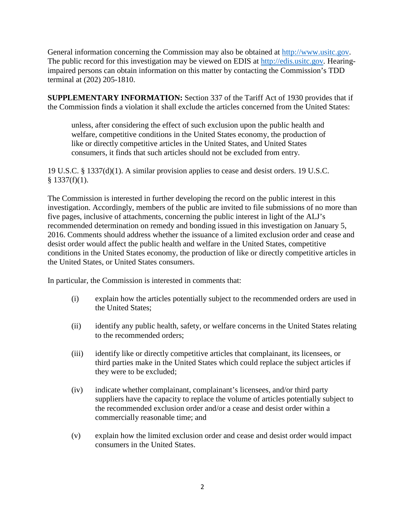General information concerning the Commission may also be obtained at [http://www.usitc.gov.](http://www.usitc.gov/) The public record for this investigation may be viewed on EDIS at [http://edis.usitc.gov](http://edis.usitc.gov/)*.* Hearingimpaired persons can obtain information on this matter by contacting the Commission's TDD terminal at (202) 205-1810.

**SUPPLEMENTARY INFORMATION:** Section 337 of the Tariff Act of 1930 provides that if the Commission finds a violation it shall exclude the articles concerned from the United States:

unless, after considering the effect of such exclusion upon the public health and welfare, competitive conditions in the United States economy, the production of like or directly competitive articles in the United States, and United States consumers, it finds that such articles should not be excluded from entry.

19 U.S.C. § 1337(d)(1). A similar provision applies to cease and desist orders. 19 U.S.C.  $§$  1337(f)(1).

The Commission is interested in further developing the record on the public interest in this investigation. Accordingly, members of the public are invited to file submissions of no more than five pages, inclusive of attachments, concerning the public interest in light of the ALJ's recommended determination on remedy and bonding issued in this investigation on January 5, 2016. Comments should address whether the issuance of a limited exclusion order and cease and desist order would affect the public health and welfare in the United States, competitive conditions in the United States economy, the production of like or directly competitive articles in the United States, or United States consumers.

In particular, the Commission is interested in comments that:

- (i) explain how the articles potentially subject to the recommended orders are used in the United States;
- (ii) identify any public health, safety, or welfare concerns in the United States relating to the recommended orders;
- (iii) identify like or directly competitive articles that complainant, its licensees, or third parties make in the United States which could replace the subject articles if they were to be excluded;
- (iv) indicate whether complainant, complainant's licensees, and/or third party suppliers have the capacity to replace the volume of articles potentially subject to the recommended exclusion order and/or a cease and desist order within a commercially reasonable time; and
- (v) explain how the limited exclusion order and cease and desist order would impact consumers in the United States.